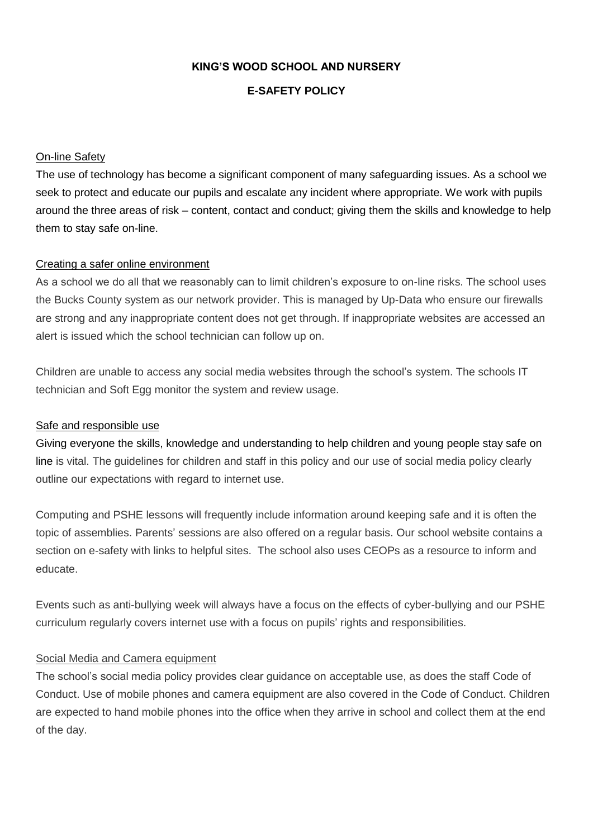## **KING'S WOOD SCHOOL AND NURSERY**

## **E-SAFETY POLICY**

## On-line Safety

The use of technology has become a significant component of many safeguarding issues. As a school we seek to protect and educate our pupils and escalate any incident where appropriate. We work with pupils around the three areas of risk – content, contact and conduct; giving them the skills and knowledge to help them to stay safe on-line.

## Creating a safer online environment

As a school we do all that we reasonably can to limit children's exposure to on-line risks. The school uses the Bucks County system as our network provider. This is managed by Up-Data who ensure our firewalls are strong and any inappropriate content does not get through. If inappropriate websites are accessed an alert is issued which the school technician can follow up on.

Children are unable to access any social media websites through the school's system. The schools IT technician and Soft Egg monitor the system and review usage.

## Safe and responsible use

Giving everyone the skills, knowledge and understanding to help children and young people stay safe on line is vital. The guidelines for children and staff in this policy and our use of social media policy clearly outline our expectations with regard to internet use.

Computing and PSHE lessons will frequently include information around keeping safe and it is often the topic of assemblies. Parents' sessions are also offered on a regular basis. Our school website contains a section on e-safety with links to helpful sites. The school also uses CEOPs as a resource to inform and educate.

Events such as anti-bullying week will always have a focus on the effects of cyber-bullying and our PSHE curriculum regularly covers internet use with a focus on pupils' rights and responsibilities.

# Social Media and Camera equipment

The school's social media policy provides clear guidance on acceptable use, as does the staff Code of Conduct. Use of mobile phones and camera equipment are also covered in the Code of Conduct. Children are expected to hand mobile phones into the office when they arrive in school and collect them at the end of the day.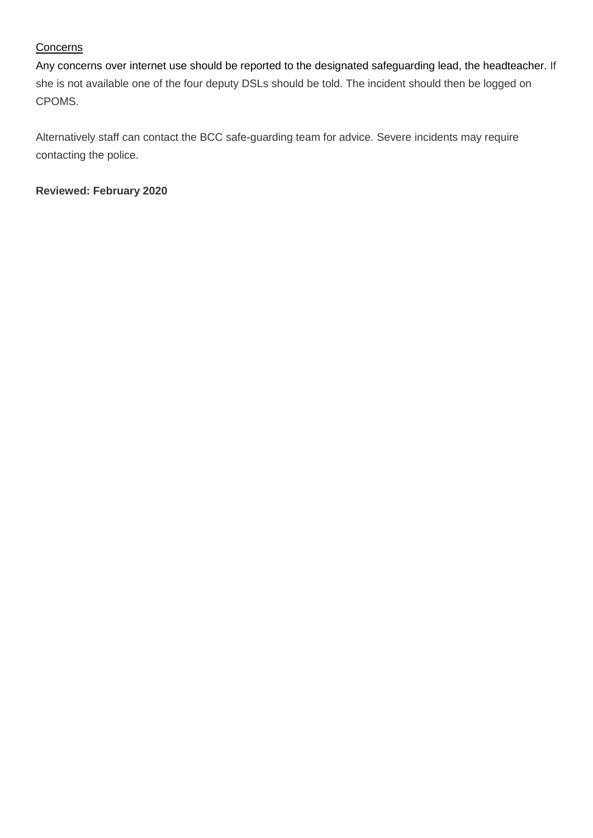# **Concerns**

Any concerns over internet use should be reported to the designated safeguarding lead, the headteacher. If she is not available one of the four deputy DSLs should be told. The incident should then be logged on CPOMS.

Alternatively staff can contact the BCC safe-guarding team for advice. Severe incidents may require contacting the police.

**Reviewed: February 2020**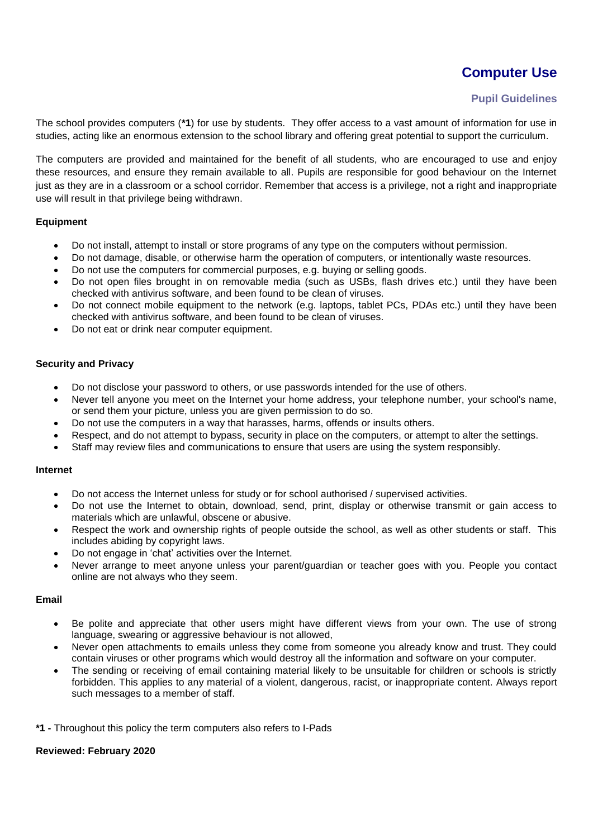# **Computer Use**

## **Pupil Guidelines**

The school provides computers (**\*1**) for use by students. They offer access to a vast amount of information for use in studies, acting like an enormous extension to the school library and offering great potential to support the curriculum.

The computers are provided and maintained for the benefit of all students, who are encouraged to use and enjoy these resources, and ensure they remain available to all. Pupils are responsible for good behaviour on the Internet just as they are in a classroom or a school corridor. Remember that access is a privilege, not a right and inappropriate use will result in that privilege being withdrawn.

#### **Equipment**

- Do not install, attempt to install or store programs of any type on the computers without permission.
- Do not damage, disable, or otherwise harm the operation of computers, or intentionally waste resources.
- Do not use the computers for commercial purposes, e.g. buying or selling goods.
- Do not open files brought in on removable media (such as USBs, flash drives etc.) until they have been checked with antivirus software, and been found to be clean of viruses.
- Do not connect mobile equipment to the network (e.g. laptops, tablet PCs, PDAs etc.) until they have been checked with antivirus software, and been found to be clean of viruses.
- Do not eat or drink near computer equipment.

#### **Security and Privacy**

- Do not disclose your password to others, or use passwords intended for the use of others.
- Never tell anyone you meet on the Internet your home address, your telephone number, your school's name, or send them your picture, unless you are given permission to do so.
- Do not use the computers in a way that harasses, harms, offends or insults others.
- Respect, and do not attempt to bypass, security in place on the computers, or attempt to alter the settings.
- Staff may review files and communications to ensure that users are using the system responsibly.

#### **Internet**

- Do not access the Internet unless for study or for school authorised / supervised activities.
- Do not use the Internet to obtain, download, send, print, display or otherwise transmit or gain access to materials which are unlawful, obscene or abusive.
- Respect the work and ownership rights of people outside the school, as well as other students or staff. This includes abiding by copyright laws.
- Do not engage in 'chat' activities over the Internet.
- Never arrange to meet anyone unless your parent/guardian or teacher goes with you. People you contact online are not always who they seem.

#### **Email**

- Be polite and appreciate that other users might have different views from your own. The use of strong language, swearing or aggressive behaviour is not allowed,
- Never open attachments to emails unless they come from someone you already know and trust. They could contain viruses or other programs which would destroy all the information and software on your computer.
- The sending or receiving of email containing material likely to be unsuitable for children or schools is strictly forbidden. This applies to any material of a violent, dangerous, racist, or inappropriate content. Always report such messages to a member of staff.

**\*1 -** Throughout this policy the term computers also refers to I-Pads

#### **Reviewed: February 2020**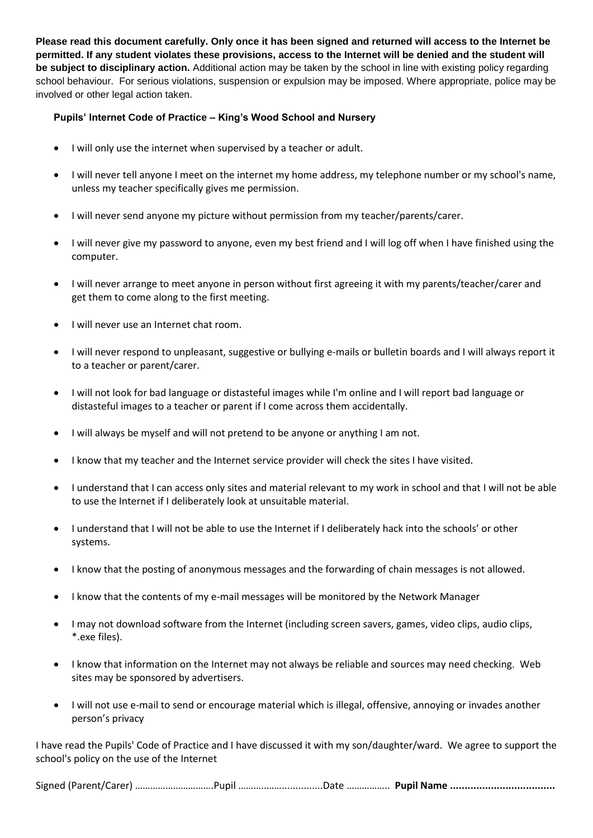**Please read this document carefully. Only once it has been signed and returned will access to the Internet be permitted. If any student violates these provisions, access to the Internet will be denied and the student will be subject to disciplinary action.** Additional action may be taken by the school in line with existing policy regarding school behaviour. For serious violations, suspension or expulsion may be imposed. Where appropriate, police may be involved or other legal action taken.

## **Pupils' Internet Code of Practice – King's Wood School and Nursery**

- I will only use the internet when supervised by a teacher or adult.
- I will never tell anyone I meet on the internet my home address, my telephone number or my school's name, unless my teacher specifically gives me permission.
- I will never send anyone my picture without permission from my teacher/parents/carer.
- I will never give my password to anyone, even my best friend and I will log off when I have finished using the computer.
- I will never arrange to meet anyone in person without first agreeing it with my parents/teacher/carer and get them to come along to the first meeting.
- I will never use an Internet chat room.
- I will never respond to unpleasant, suggestive or bullying e-mails or bulletin boards and I will always report it to a teacher or parent/carer.
- I will not look for bad language or distasteful images while I'm online and I will report bad language or distasteful images to a teacher or parent if I come across them accidentally.
- I will always be myself and will not pretend to be anyone or anything I am not.
- I know that my teacher and the Internet service provider will check the sites I have visited.
- I understand that I can access only sites and material relevant to my work in school and that I will not be able to use the Internet if I deliberately look at unsuitable material.
- I understand that I will not be able to use the Internet if I deliberately hack into the schools' or other systems.
- I know that the posting of anonymous messages and the forwarding of chain messages is not allowed.
- I know that the contents of my e-mail messages will be monitored by the Network Manager
- I may not download software from the Internet (including screen savers, games, video clips, audio clips, \*.exe files).
- I know that information on the Internet may not always be reliable and sources may need checking. Web sites may be sponsored by advertisers.
- I will not use e-mail to send or encourage material which is illegal, offensive, annoying or invades another person's privacy

I have read the Pupils' Code of Practice and I have discussed it with my son/daughter/ward. We agree to support the school's policy on the use of the Internet

Signed (Parent/Carer) ………………………….Pupil ………..……...............Date …………….. **Pupil Name ....................................**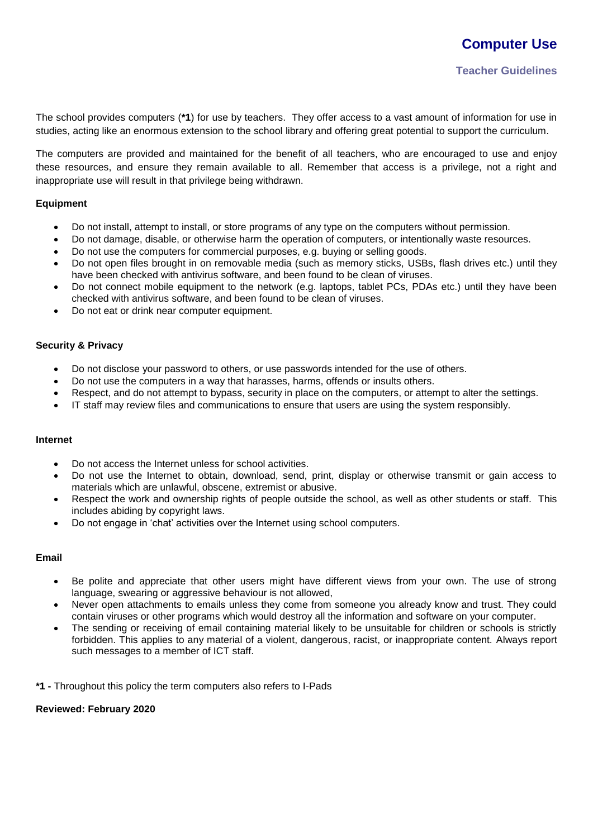The school provides computers (**\*1**) for use by teachers. They offer access to a vast amount of information for use in studies, acting like an enormous extension to the school library and offering great potential to support the curriculum.

The computers are provided and maintained for the benefit of all teachers, who are encouraged to use and enjoy these resources, and ensure they remain available to all. Remember that access is a privilege, not a right and inappropriate use will result in that privilege being withdrawn.

#### **Equipment**

- Do not install, attempt to install, or store programs of any type on the computers without permission.
- Do not damage, disable, or otherwise harm the operation of computers, or intentionally waste resources.
- Do not use the computers for commercial purposes, e.g. buying or selling goods.
- Do not open files brought in on removable media (such as memory sticks, USBs, flash drives etc.) until they have been checked with antivirus software, and been found to be clean of viruses.
- Do not connect mobile equipment to the network (e.g. laptops, tablet PCs, PDAs etc.) until they have been checked with antivirus software, and been found to be clean of viruses.
- Do not eat or drink near computer equipment.

## **Security & Privacy**

- Do not disclose your password to others, or use passwords intended for the use of others.
- Do not use the computers in a way that harasses, harms, offends or insults others.
- Respect, and do not attempt to bypass, security in place on the computers, or attempt to alter the settings.
- IT staff may review files and communications to ensure that users are using the system responsibly.

#### **Internet**

- Do not access the Internet unless for school activities.
- Do not use the Internet to obtain, download, send, print, display or otherwise transmit or gain access to materials which are unlawful, obscene, extremist or abusive.
- Respect the work and ownership rights of people outside the school, as well as other students or staff. This includes abiding by copyright laws.
- Do not engage in 'chat' activities over the Internet using school computers.

#### **Email**

- Be polite and appreciate that other users might have different views from your own. The use of strong language, swearing or aggressive behaviour is not allowed,
- Never open attachments to emails unless they come from someone you already know and trust. They could contain viruses or other programs which would destroy all the information and software on your computer.
- The sending or receiving of email containing material likely to be unsuitable for children or schools is strictly forbidden. This applies to any material of a violent, dangerous, racist, or inappropriate content. Always report such messages to a member of ICT staff.

**\*1 -** Throughout this policy the term computers also refers to I-Pads

#### **Reviewed: February 2020**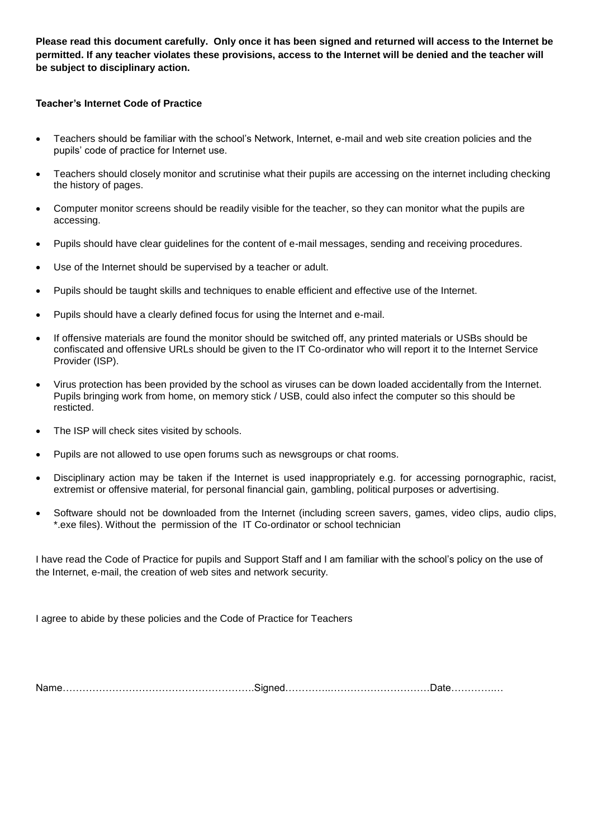**Please read this document carefully. Only once it has been signed and returned will access to the Internet be permitted. If any teacher violates these provisions, access to the Internet will be denied and the teacher will be subject to disciplinary action.**

## **Teacher's Internet Code of Practice**

- Teachers should be familiar with the school's Network, Internet, e-mail and web site creation policies and the pupils' code of practice for Internet use.
- Teachers should closely monitor and scrutinise what their pupils are accessing on the internet including checking the history of pages.
- Computer monitor screens should be readily visible for the teacher, so they can monitor what the pupils are accessing.
- Pupils should have clear guidelines for the content of e-mail messages, sending and receiving procedures.
- Use of the Internet should be supervised by a teacher or adult.
- Pupils should be taught skills and techniques to enable efficient and effective use of the Internet.
- Pupils should have a clearly defined focus for using the lnternet and e-mail.
- If offensive materials are found the monitor should be switched off, any printed materials or USBs should be confiscated and offensive URLs should be given to the IT Co-ordinator who will report it to the Internet Service Provider (ISP).
- Virus protection has been provided by the school as viruses can be down loaded accidentally from the Internet. Pupils bringing work from home, on memory stick / USB, could also infect the computer so this should be resticted.
- The ISP will check sites visited by schools.
- Pupils are not allowed to use open forums such as newsgroups or chat rooms.
- Disciplinary action may be taken if the Internet is used inappropriately e.g. for accessing pornographic, racist, extremist or offensive material, for personal financial gain, gambling, political purposes or advertising.
- Software should not be downloaded from the Internet (including screen savers, games, video clips, audio clips, \*.exe files). Without the permission of the IT Co-ordinator or school technician

I have read the Code of Practice for pupils and Support Staff and I am familiar with the school's policy on the use of the Internet, e-mail, the creation of web sites and network security.

I agree to abide by these policies and the Code of Practice for Teachers

Name………………………………………………….Signed…………..…………………………Date………….…